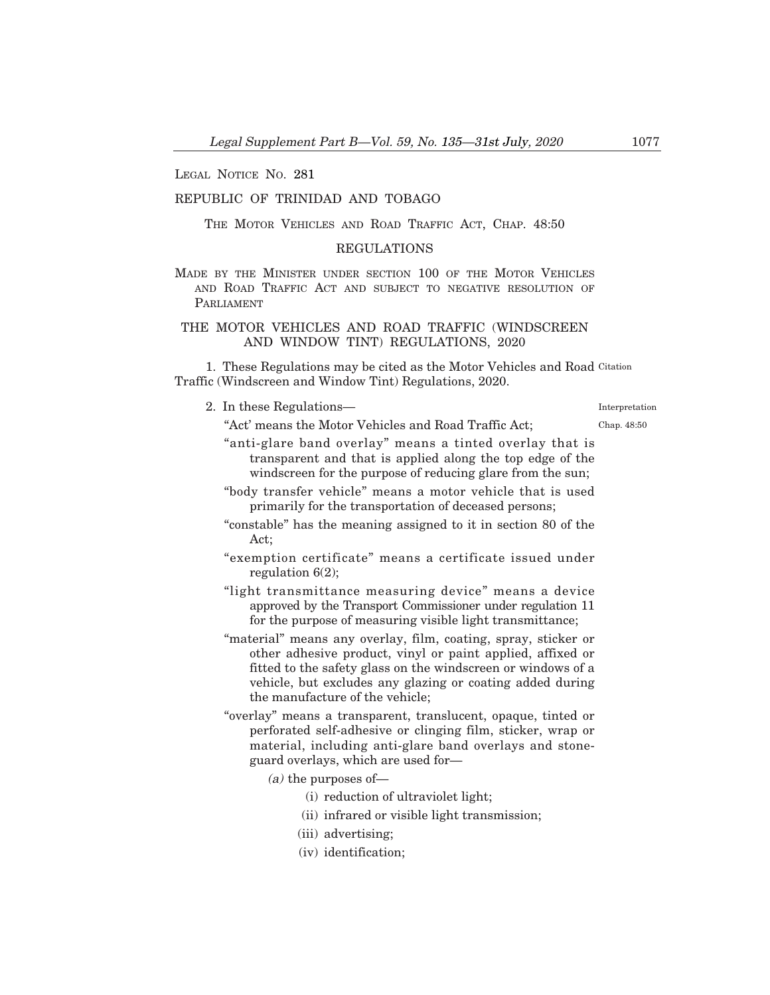LEGAL NOTICE NO. 281

## REPUBLIC OF TRINIDAD AND TOBAGO

THE MOTOR VEHICLES AND ROAD TRAFFIC ACT, CHAP. 48:50

## REGULATIONS

MADE BY THE MINISTER UNDER SECTION 100 OF THE MOTOR VEHICLES AND ROAD TRAFFIC ACT AND SUBJECT TO NEGATIVE RESOLUTION OF PARLIAMENT

# THE MOTOR VEHICLES AND ROAD TRAFFIC (WINDSCREEN AND WINDOW TINT) REGULATIONS, 2020

"Act' means the Motor Vehicles and Road Traffic Act;

1. These Regulations may be cited as the Motor Vehicles and Road Citation Traffic (Windscreen and Window Tint) Regulations, 2020.

2. In these Regulations–

Interpretation

Chap. 48:50

- "anti-glare band overlay" means a tinted overlay that is transparent and that is applied along the top edge of the windscreen for the purpose of reducing glare from the sun;
- "body transfer vehicle" means a motor vehicle that is used primarily for the transportation of deceased persons;
- "constable" has the meaning assigned to it in section 80 of the Act;
- "exemption certificate" means a certificate issued under regulation 6(2);
- "light transmittance measuring device" means a device approved by the Transport Commissioner under regulation 11 for the purpose of measuring visible light transmittance;
- "material" means any overlay, film, coating, spray, sticker or other adhesive product, vinyl or paint applied, affixed or fitted to the safety glass on the windscreen or windows of a vehicle, but excludes any glazing or coating added during the manufacture of the vehicle;
- "overlay" means a transparent, translucent, opaque, tinted or perforated self-adhesive or clinging film, sticker, wrap or material, including anti-glare band overlays and stoneguard overlays, which are used for–
	- $(a)$  the purposes of
		- (i) reduction of ultraviolet light;
		- (ii) infrared or visible light transmission;
		- (iii) advertising;
		- (iv) identification;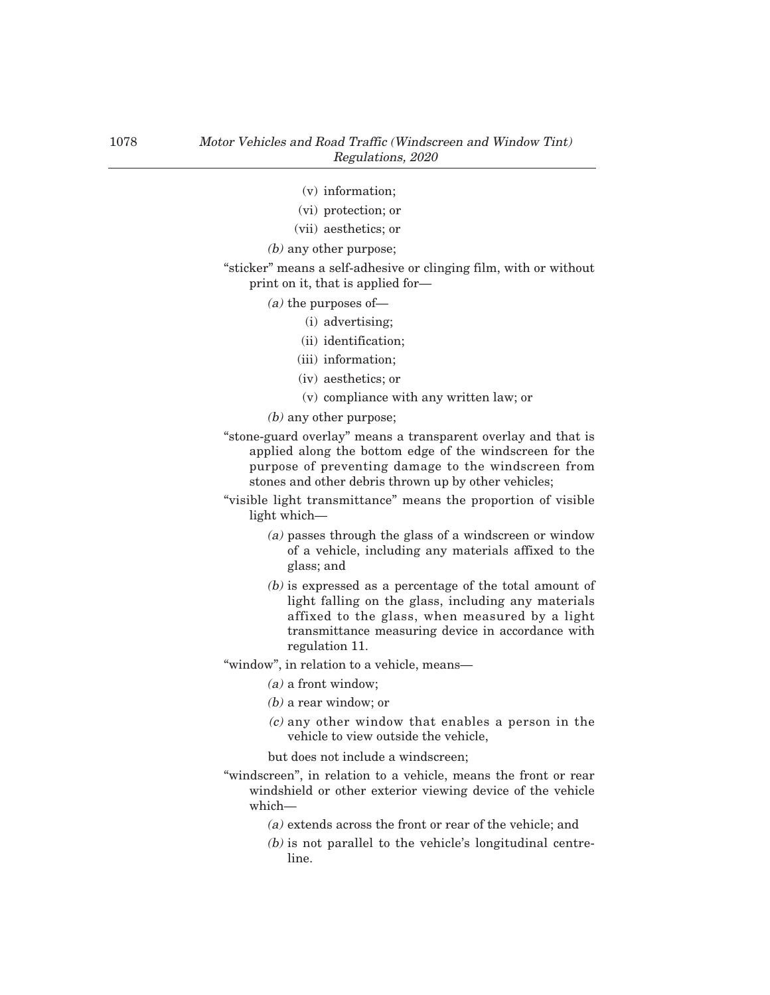- (v) information;
- (vi) protection; or
- (vii) aesthetics; or
- (b) any other purpose;
- "sticker" means a self-adhesive or clinging film, with or without print on it, that is applied for–
	- $(a)$  the purposes of
		- (i) advertising;
		- (ii) identification;
		- (iii) information;
		- (iv) aesthetics; or
		- (v) compliance with any written law; or
	- (b) any other purpose;
- "stone-guard overlay" means a transparent overlay and that is applied along the bottom edge of the windscreen for the purpose of preventing damage to the windscreen from stones and other debris thrown up by other vehicles;
- "visible light transmittance" means the proportion of visible light which–
	- (a) passes through the glass of a windscreen or window of a vehicle, including any materials affixed to the glass; and
	- (b) is expressed as a percentage of the total amount of light falling on the glass, including any materials affixed to the glass, when measured by a light transmittance measuring device in accordance with regulation 11.
- "window", in relation to a vehicle, means–
	- (a) a front window;
	- (b) a rear window; or
	- $(c)$  any other window that enables a person in the vehicle to view outside the vehicle,

but does not include a windscreen;

- "windscreen", in relation to a vehicle, means the front or rear windshield or other exterior viewing device of the vehicle which–
	- (a) extends across the front or rear of the vehicle; and
	- (b) is not parallel to the vehicle's longitudinal centreline.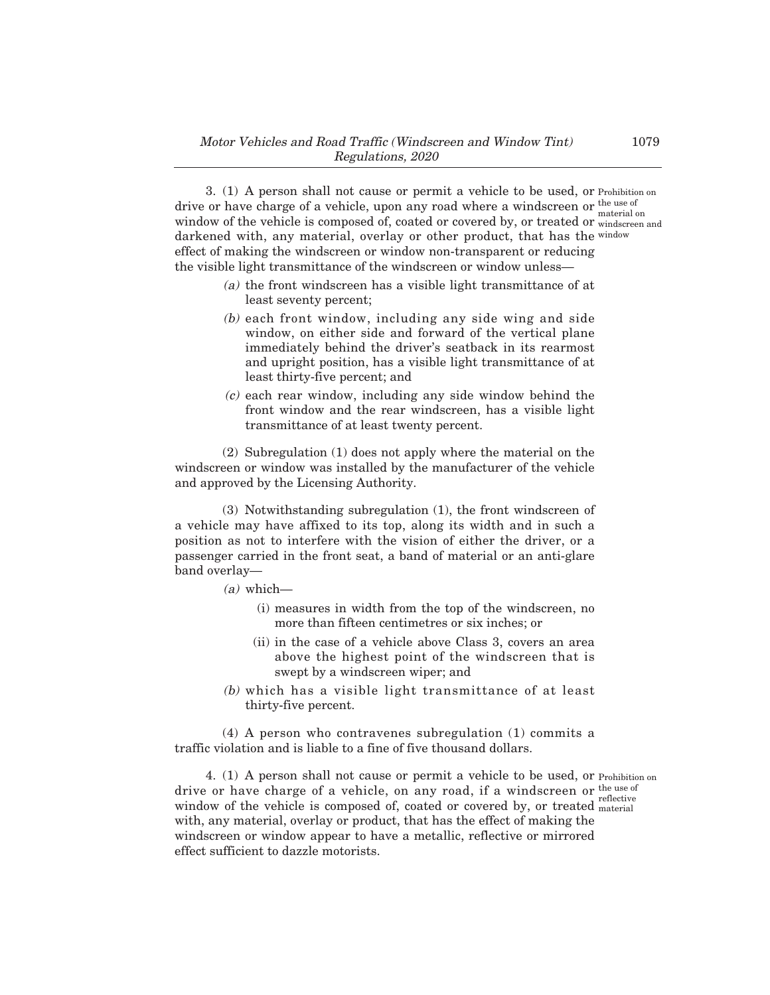3. (1) A person shall not cause or permit a vehicle to be used, or Prohibition on drive or have charge of a vehicle, upon any road where a windscreen or the use of window of the vehicle is composed of, coated or covered by, or treated or  $\frac{m_{\text{u}}}{m_{\text{u}}}\text{arctan}$  and darkened with, any material, overlay or other product, that has the window effect of making the windscreen or window non-transparent or reducing the visible light transmittance of the windscreen or window unless– material on

- (a) the front windscreen has a visible light transmittance of at least seventy percent;
- (b) each front window, including any side wing and side window, on either side and forward of the vertical plane immediately behind the driver's seatback in its rearmost and upright position, has a visible light transmittance of at least thirty-five percent; and
- $(c)$  each rear window, including any side window behind the front window and the rear windscreen, has a visible light transmittance of at least twenty percent.

(2) Subregulation (1) does not apply where the material on the windscreen or window was installed by the manufacturer of the vehicle and approved by the Licensing Authority.

(3) Notwithstanding subregulation (1), the front windscreen of a vehicle may have affixed to its top, along its width and in such a position as not to interfere with the vision of either the driver, or a passenger carried in the front seat, a band of material or an anti-glare band overlay–

- $(a)$  which—
	- (i) measures in width from the top of the windscreen, no more than fifteen centimetres or six inches; or
	- (ii) in the case of a vehicle above Class 3, covers an area above the highest point of the windscreen that is swept by a windscreen wiper; and
- (b) which has a visible light transmittance of at least thirty-five percent.

(4) A person who contravenes subregulation (1) commits a traffic violation and is liable to a fine of five thousand dollars.

4. (1) A person shall not cause or permit a vehicle to be used, or Prohibition on drive or have charge of a vehicle, on any road, if a windscreen or window of the vehicle is composed of, coated or covered by, or treated with, any material, overlay or product, that has the effect of making the windscreen or window appear to have a metallic, reflective or mirrored effect sufficient to dazzle motorists. the use of reflective material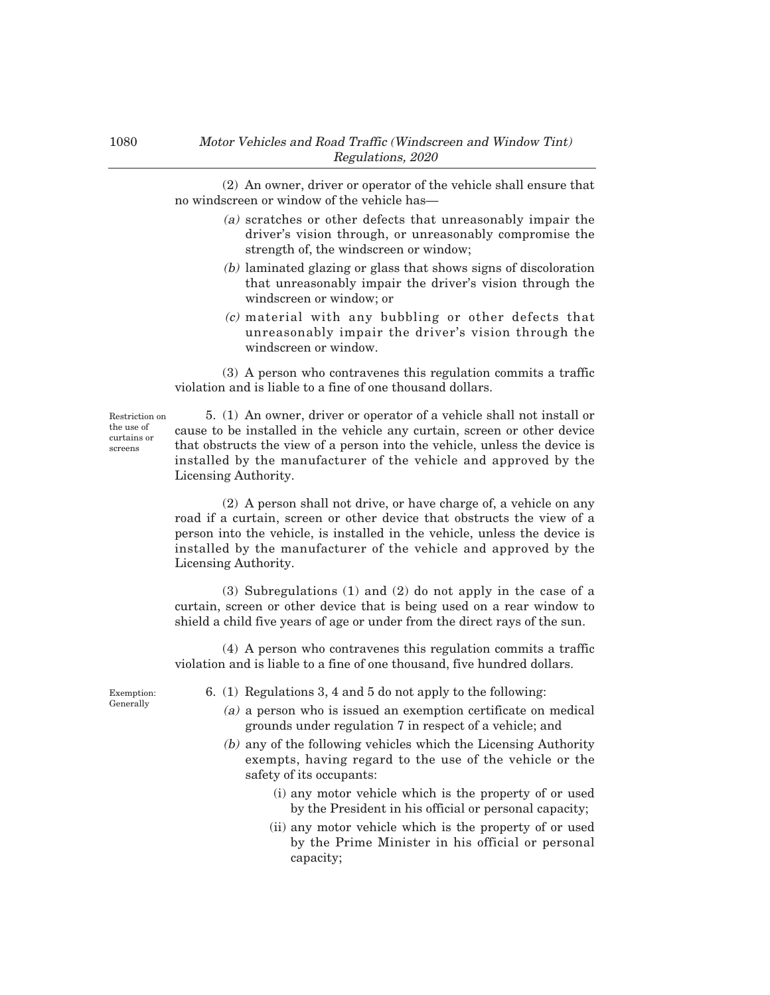(2) An owner, driver or operator of the vehicle shall ensure that no windscreen or window of the vehicle has–

- (a) scratches or other defects that unreasonably impair the driver's vision through, or unreasonably compromise the strength of, the windscreen or window;
- (b) laminated glazing or glass that shows signs of discoloration that unreasonably impair the driver's vision through the windscreen or window; or
- (c) material with any bubbling or other defects that unreasonably impair the driver's vision through the windscreen or window.

(3) A person who contravenes this regulation commits a traffic violation and is liable to a fine of one thousand dollars.

Restriction on the use of curtains or screens

5. (1) An owner, driver or operator of a vehicle shall not install or cause to be installed in the vehicle any curtain, screen or other device that obstructs the view of a person into the vehicle, unless the device is installed by the manufacturer of the vehicle and approved by the Licensing Authority.

(2) A person shall not drive, or have charge of, a vehicle on any road if a curtain, screen or other device that obstructs the view of a person into the vehicle, is installed in the vehicle, unless the device is installed by the manufacturer of the vehicle and approved by the Licensing Authority.

(3) Subregulations (1) and (2) do not apply in the case of a curtain, screen or other device that is being used on a rear window to shield a child five years of age or under from the direct rays of the sun.

(4) A person who contravenes this regulation commits a traffic violation and is liable to a fine of one thousand, five hundred dollars.

Exemption: **Generally** 

- 6. (1) Regulations 3, 4 and 5 do not apply to the following:
	- (a) a person who is issued an exemption certificate on medical grounds under regulation 7 in respect of a vehicle; and
	- (b) any of the following vehicles which the Licensing Authority exempts, having regard to the use of the vehicle or the safety of its occupants:
		- (i) any motor vehicle which is the property of or used by the President in his official or personal capacity;
		- (ii) any motor vehicle which is the property of or used by the Prime Minister in his official or personal capacity;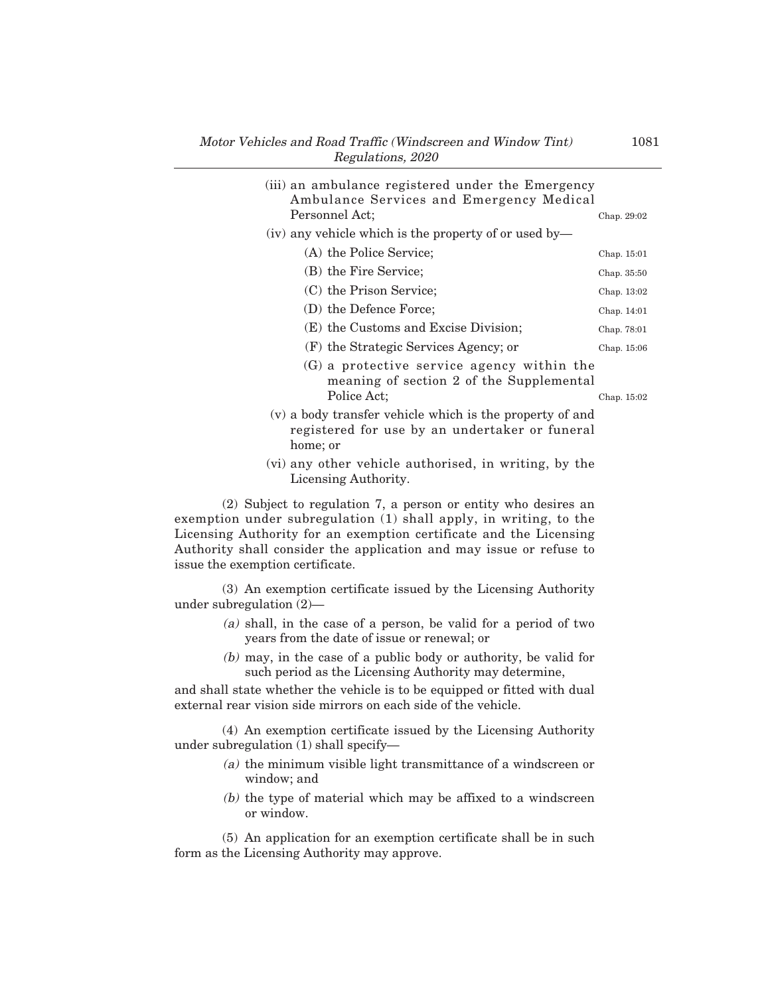| (iii) an ambulance registered under the Emergency<br>Ambulance Services and Emergency Medical<br>Personnel Act:        | Chap. 29:02 |
|------------------------------------------------------------------------------------------------------------------------|-------------|
| (iv) any vehicle which is the property of or used by-                                                                  |             |
| (A) the Police Service;                                                                                                | Chap. 15:01 |
| (B) the Fire Service;                                                                                                  | Chap. 35:50 |
| (C) the Prison Service;                                                                                                | Chap. 13:02 |
| (D) the Defence Force;                                                                                                 | Chap. 14:01 |
| (E) the Customs and Excise Division;                                                                                   | Chap. 78:01 |
| (F) the Strategic Services Agency; or                                                                                  | Chap. 15:06 |
| $(G)$ a protective service agency within the<br>meaning of section 2 of the Supplemental<br>Police Act:                | Chap. 15:02 |
| (v) a body transfer vehicle which is the property of and<br>registered for use by an undertaker or funeral<br>home; or |             |
| (vi) any other vehicle authorised in writing by the                                                                    |             |

(vi) any other vehicle authorised, in writing, by the Licensing Authority.

(2) Subject to regulation 7, a person or entity who desires an exemption under subregulation (1) shall apply, in writing, to the Licensing Authority for an exemption certificate and the Licensing Authority shall consider the application and may issue or refuse to issue the exemption certificate.

(3) An exemption certificate issued by the Licensing Authority under subregulation (2)–

- (a) shall, in the case of a person, be valid for a period of two years from the date of issue or renewal; or
- (b) may, in the case of a public body or authority, be valid for such period as the Licensing Authority may determine,

and shall state whether the vehicle is to be equipped or fitted with dual external rear vision side mirrors on each side of the vehicle.

(4) An exemption certificate issued by the Licensing Authority under subregulation (1) shall specify–

- (a) the minimum visible light transmittance of a windscreen or window; and
- (b) the type of material which may be affixed to a windscreen or window.

(5) An application for an exemption certificate shall be in such form as the Licensing Authority may approve.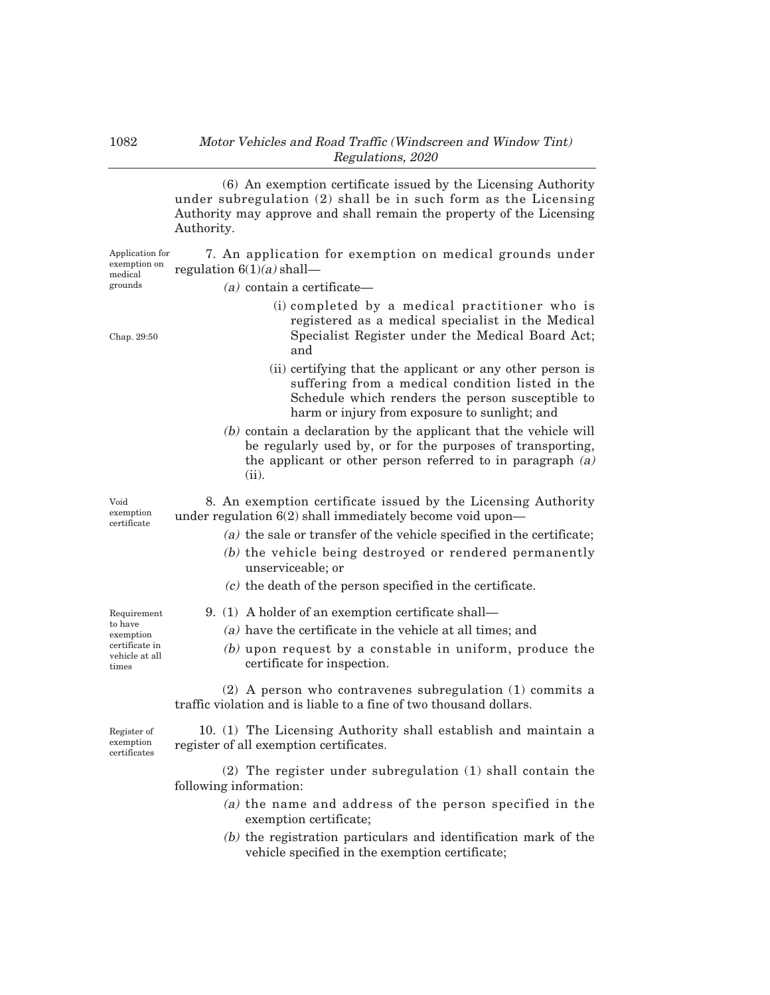(6) An exemption certificate issued by the Licensing Authority under subregulation (2) shall be in such form as the Licensing Authority may approve and shall remain the property of the Licensing Authority.

7. An application for exemption on medical grounds under regulation  $6(1)(a)$  shall-Application for exemption on medical

### $(a)$  contain a certificate—

- (i) completed by a medical practitioner who is registered as a medical specialist in the Medical Specialist Register under the Medical Board Act; and
- (ii) certifying that the applicant or any other person is suffering from a medical condition listed in the Schedule which renders the person susceptible to harm or injury from exposure to sunlight; and
- (b) contain a declaration by the applicant that the vehicle will be regularly used by, or for the purposes of transporting, the applicant or other person referred to in paragraph (a) (ii).

8. An exemption certificate issued by the Licensing Authority under regulation 6(2) shall immediately become void upon–

- (a) the sale or transfer of the vehicle specified in the certificate;
- (b) the vehicle being destroyed or rendered permanently unserviceable; or
- (c) the death of the person specified in the certificate.

9. (1) A holder of an exemption certificate shall–

- (a) have the certificate in the vehicle at all times; and
- (b) upon request by a constable in uniform, produce the certificate for inspection.

(2) A person who contravenes subregulation (1) commits a traffic violation and is liable to a fine of two thousand dollars.

Register of exemption certificates

10. (1) The Licensing Authority shall establish and maintain a register of all exemption certificates.

(2) The register under subregulation (1) shall contain the following information:

- (a) the name and address of the person specified in the exemption certificate;
- (b) the registration particulars and identification mark of the vehicle specified in the exemption certificate;

Void exemption certificate

Requirement to have exemption certificate in vehicle at all times

Chap. 29:50

grounds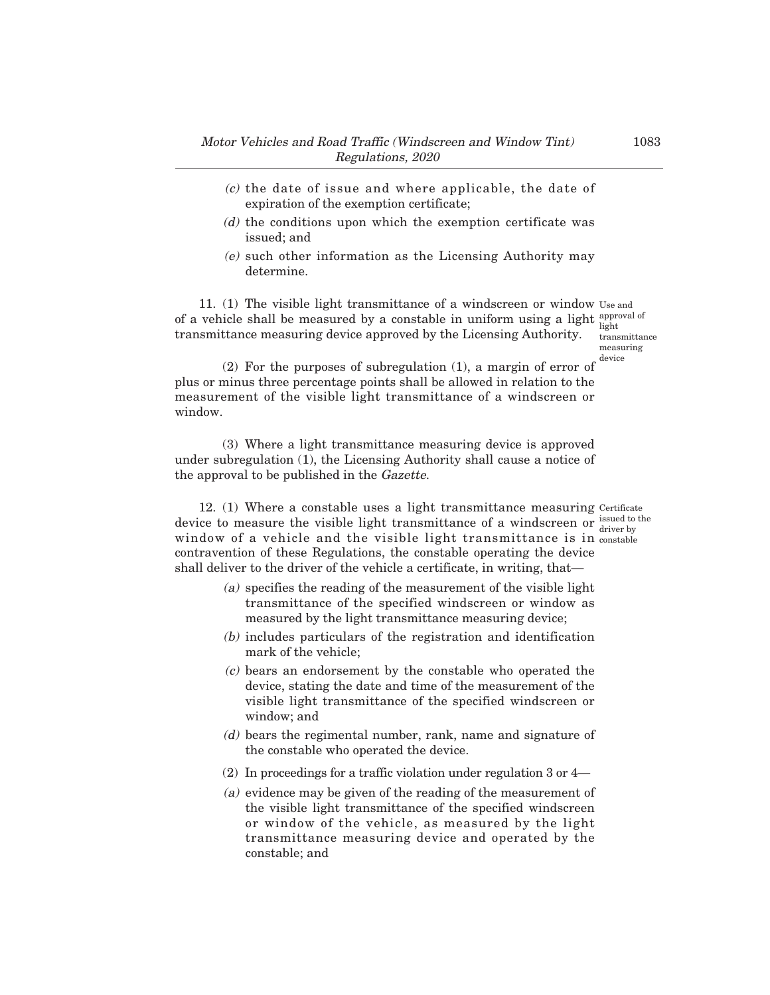- (c) the date of issue and where applicable, the date of expiration of the exemption certificate;
- (d) the conditions upon which the exemption certificate was issued; and
- (e) such other information as the Licensing Authority may determine.

11. (1) The visible light transmittance of a windscreen or window Use and of a vehicle shall be measured by a constable in uniform using a light  $_{i=1}^{approxal}$ transmittance measuring device approved by the Licensing Authority. light

transmittance measuring device

(2) For the purposes of subregulation (1), a margin of error of plus or minus three percentage points shall be allowed in relation to the measurement of the visible light transmittance of a windscreen or window.

(3) Where a light transmittance measuring device is approved under subregulation (1), the Licensing Authority shall cause a notice of the approval to be published in the Gazette.

12. (1) Where a constable uses a light transmittance measuring Certificate device to measure the visible light transmittance of a windscreen or  $\frac{\text{isused to the}}{\text{div}(x)}$ window of a vehicle and the visible light transmittance is in constable contravention of these Regulations, the constable operating the device shall deliver to the driver of the vehicle a certificate, in writing, that– driver by

- (a) specifies the reading of the measurement of the visible light transmittance of the specified windscreen or window as measured by the light transmittance measuring device;
- (b) includes particulars of the registration and identification mark of the vehicle;
- (c) bears an endorsement by the constable who operated the device, stating the date and time of the measurement of the visible light transmittance of the specified windscreen or window; and
- (d) bears the regimental number, rank, name and signature of the constable who operated the device.
- (2) In proceedings for a traffic violation under regulation 3 or 4–
- (a) evidence may be given of the reading of the measurement of the visible light transmittance of the specified windscreen or window of the vehicle, as measured by the light transmittance measuring device and operated by the constable; and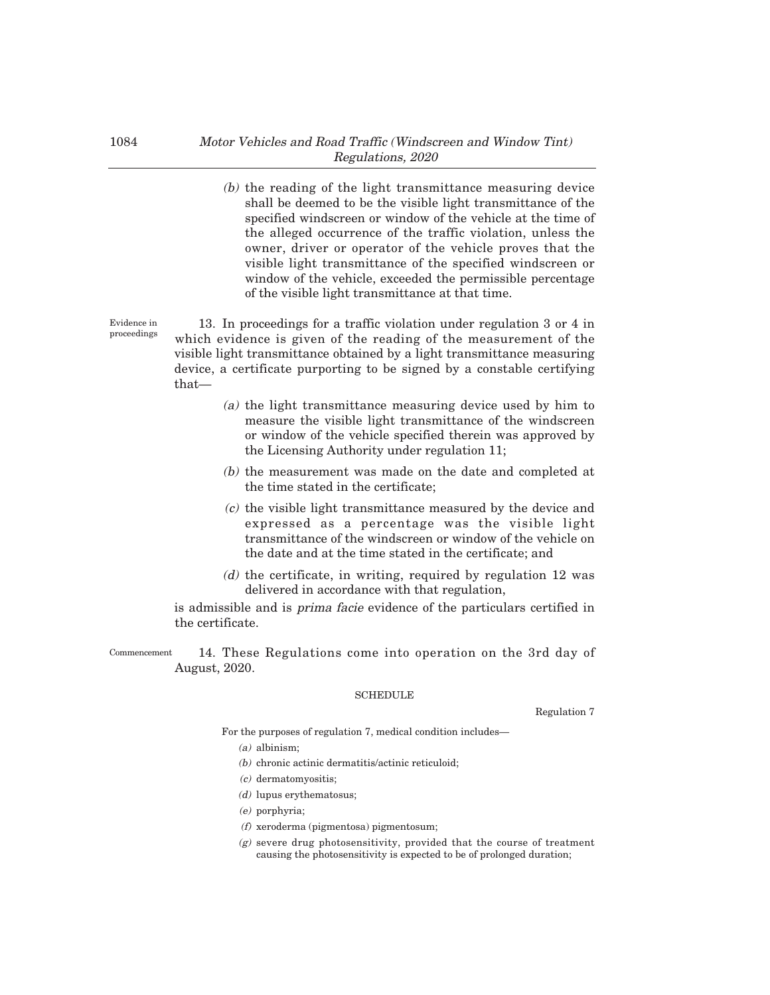(b) the reading of the light transmittance measuring device shall be deemed to be the visible light transmittance of the specified windscreen or window of the vehicle at the time of the alleged occurrence of the traffic violation, unless the owner, driver or operator of the vehicle proves that the visible light transmittance of the specified windscreen or window of the vehicle, exceeded the permissible percentage of the visible light transmittance at that time.

13. In proceedings for a traffic violation under regulation 3 or 4 in which evidence is given of the reading of the measurement of the visible light transmittance obtained by a light transmittance measuring device, a certificate purporting to be signed by a constable certifying that–

- (a) the light transmittance measuring device used by him to measure the visible light transmittance of the windscreen or window of the vehicle specified therein was approved by the Licensing Authority under regulation 11;
- (b) the measurement was made on the date and completed at the time stated in the certificate;
- (c) the visible light transmittance measured by the device and expressed as a percentage was the visible light transmittance of the windscreen or window of the vehicle on the date and at the time stated in the certificate; and
- $(d)$  the certificate, in writing, required by regulation 12 was delivered in accordance with that regulation,

is admissible and is prima facie evidence of the particulars certified in the certificate.

14. These Regulations come into operation on the 3rd day of August, 2020. Commencement

#### SCHEDULE

Regulation 7

For the purposes of regulation 7, medical condition includes–

- (a) albinism;
- (b) chronic actinic dermatitis/actinic reticuloid;
- (c) dermatomyositis;
- (d) lupus erythematosus;
- (e) porphyria;
- (f) xeroderma (pigmentosa) pigmentosum;
- $(g)$  severe drug photosensitivity, provided that the course of treatment causing the photosensitivity is expected to be of prolonged duration;

Evidence in proceedings